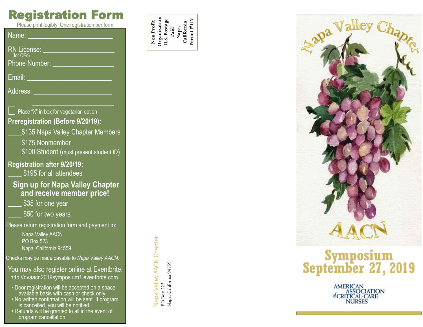## Registration Form

Please print legibly. One registration per form.

Name:

RN License:

(for CEs)

Phone Number:

Email:

Address:

#### Place "X" in box for vegetarian option **Preregistration (Before 9/20/19):**

- \$135 Napa Valley Chapter Members
- \$175 Nonmember
- **S100 Student (must present student ID)**

## **Registration after 9/20/19:**

\$195 for all attendees

### **Sign up for Napa Valley Chapter and receive member price!**

\$35 for one year

\$50 for two years

Please return registration form and payment to:

Napa Valley AACN PO Box 523 Napa, California 94559

Checks may be made payable to *Napa Valley AACN.*

You may also register online at Eventbrite. http://nvaacn2019symposium1.eventbrite.com

- Door registration will be accepted on a space available basis with cash or check only.
- No written confirmation will be sent. If program is cancelled, you will be notified.
- Refunds will be granted to all in the event of program cancellation.

Napa Valley AACN Chapter Napa Valley AACN Chapter<br>PO Box 523<br>Napa, California 94559 Napa, California 94559

e<br>C<br>Post **Paid** HERE **Napa, California**

**Organization U.S. Postage**

**Permit #119** 

**Non Profit**



## **Symposium September 27, 2019**

AMERICAN<br>ASSOCIATION<br>of CRITICAL-CARE **NURSES**